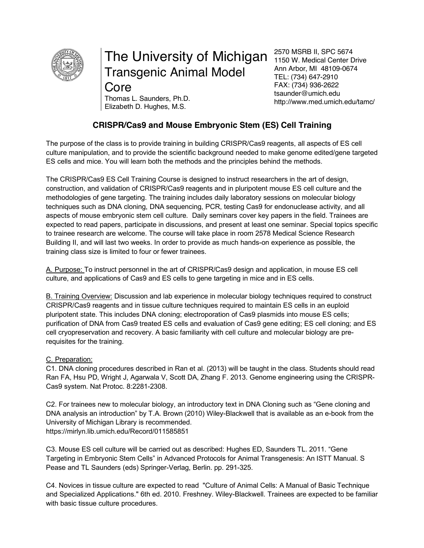

# The University of Michigan Transgenic Animal Model

**Core** Elizabeth D. Hughes, M.S.

2570 MSRB II, SPC 5674 1150 W. Medical Center Drive Ann Arbor, MI 48109-0674 TEL: (734) 647-2910 FAX: (734) 936-2622 tsaunder@umich.edu http://www.med.umich.edu/tamc/ Thomas L. Saunders, Ph.D.

# **CRISPR/Cas9 and Mouse Embryonic Stem (ES) Cell Training**

The purpose of the class is to provide training in building CRISPR/Cas9 reagents, all aspects of ES cell culture manipulation, and to provide the scientific background needed to make genome edited/gene targeted ES cells and mice. You will learn both the methods and the principles behind the methods.

The CRISPR/Cas9 ES Cell Training Course is designed to instruct researchers in the art of design, construction, and validation of CRISPR/Cas9 reagents and in pluripotent mouse ES cell culture and the methodologies of gene targeting. The training includes daily laboratory sessions on molecular biology techniques such as DNA cloning, DNA sequencing, PCR, testing Cas9 for endonuclease activity, and all aspects of mouse embryonic stem cell culture. Daily seminars cover key papers in the field. Trainees are expected to read papers, participate in discussions, and present at least one seminar. Special topics specific to trainee research are welcome. The course will take place in room 2578 Medical Science Research Building II, and will last two weeks. In order to provide as much hands-on experience as possible, the training class size is limited to four or fewer trainees.

A. Purpose: To instruct personnel in the art of CRISPR/Cas9 design and application, in mouse ES cell culture, and applications of Cas9 and ES cells to gene targeting in mice and in ES cells.

B. Training Overview: Discussion and lab experience in molecular biology techniques required to construct CRISPR/Cas9 reagents and in tissue culture techniques required to maintain ES cells in an euploid pluripotent state. This includes DNA cloning; electroporation of Cas9 plasmids into mouse ES cells; purification of DNA from Cas9 treated ES cells and evaluation of Cas9 gene editing; ES cell cloning; and ES cell cryopreservation and recovery. A basic familiarity with cell culture and molecular biology are prerequisites for the training.

# C. Preparation:

C1. DNA cloning procedures described in Ran et al. (2013) will be taught in the class. Students should read Ran FA, Hsu PD, Wright J, Agarwala V, Scott DA, Zhang F. 2013. Genome engineering using the CRISPR-Cas9 system. Nat Protoc. 8:2281-2308.

C2. For trainees new to molecular biology, an introductory text in DNA Cloning such as "Gene cloning and DNA analysis an introduction" by T.A. Brown (2010) Wiley-Blackwell that is available as an e-book from the University of Michigan Library is recommended. https://mirlyn.lib.umich.edu/Record/011585851

C3. Mouse ES cell culture will be carried out as described: Hughes ED, Saunders TL. 2011. "Gene Targeting in Embryonic Stem Cells" in Advanced Protocols for Animal Transgenesis: An ISTT Manual. S Pease and TL Saunders (eds) Springer-Verlag, Berlin. pp. 291-325.

C4. Novices in tissue culture are expected to read "Culture of Animal Cells: A Manual of Basic Technique and Specialized Applications." 6th ed. 2010. Freshney. Wiley-Blackwell. Trainees are expected to be familiar with basic tissue culture procedures.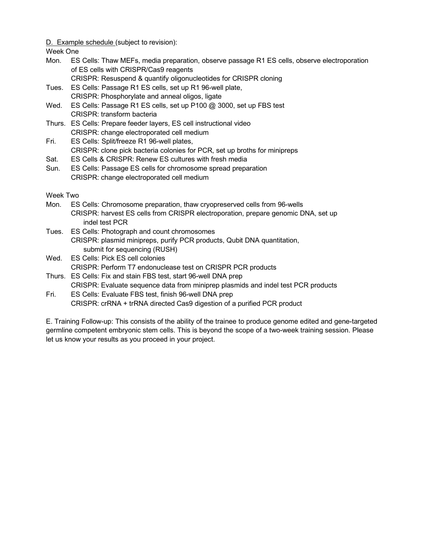#### D. Example schedule (subject to revision):

Week One

Mon. ES Cells: Thaw MEFs, media preparation, observe passage R1 ES cells, observe electroporation of ES cells with CRISPR/Cas9 reagents

CRISPR: Resuspend & quantify oligonucleotides for CRISPR cloning

- Tues. ES Cells: Passage R1 ES cells, set up R1 96-well plate, CRISPR: Phosphorylate and anneal oligos, ligate
- Wed. ES Cells: Passage R1 ES cells, set up P100 @ 3000, set up FBS test CRISPR: transform bacteria
- Thurs. ES Cells: Prepare feeder layers, ES cell instructional video CRISPR: change electroporated cell medium
- Fri. ES Cells: Split/freeze R1 96-well plates, CRISPR: clone pick bacteria colonies for PCR, set up broths for minipreps
- Sat. ES Cells & CRISPR: Renew ES cultures with fresh media
- Sun. ES Cells: Passage ES cells for chromosome spread preparation CRISPR: change electroporated cell medium

Week Two

- Mon. ES Cells: Chromosome preparation, thaw cryopreserved cells from 96-wells CRISPR: harvest ES cells from CRISPR electroporation, prepare genomic DNA, set up indel test PCR
- Tues. ES Cells: Photograph and count chromosomes CRISPR: plasmid minipreps, purify PCR products, Qubit DNA quantitation, submit for sequencing (RUSH)
- Wed. ES Cells: Pick ES cell colonies CRISPR: Perform T7 endonuclease test on CRISPR PCR products
- Thurs. ES Cells: Fix and stain FBS test, start 96-well DNA prep CRISPR: Evaluate sequence data from miniprep plasmids and indel test PCR products
- Fri. ES Cells: Evaluate FBS test, finish 96-well DNA prep CRISPR: crRNA + trRNA directed Cas9 digestion of a purified PCR product

E. Training Follow-up: This consists of the ability of the trainee to produce genome edited and gene-targeted germline competent embryonic stem cells. This is beyond the scope of a two-week training session. Please let us know your results as you proceed in your project.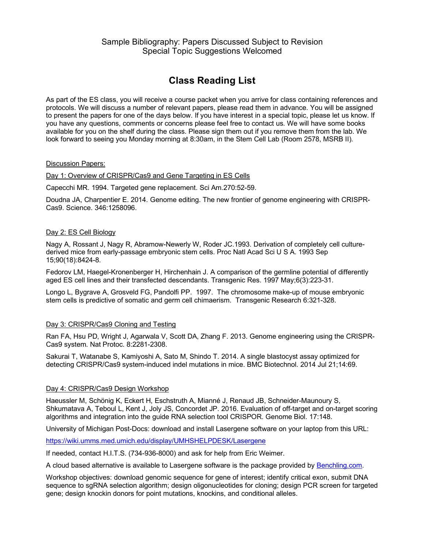# **Class Reading List**

As part of the ES class, you will receive a course packet when you arrive for class containing references and protocols. We will discuss a number of relevant papers, please read them in advance. You will be assigned to present the papers for one of the days below. If you have interest in a special topic, please let us know. If you have any questions, comments or concerns please feel free to contact us. We will have some books available for you on the shelf during the class. Please sign them out if you remove them from the lab. We look forward to seeing you Monday morning at 8:30am, in the Stem Cell Lab (Room 2578, MSRB II).

#### Discussion Papers:

#### Day 1: Overview of CRISPR/Cas9 and Gene Targeting in ES Cells

Capecchi MR. 1994. Targeted gene replacement. Sci Am.270:52-59.

Doudna JA, Charpentier E. 2014. Genome editing. The new frontier of genome engineering with CRISPR-Cas9. Science. 346:1258096.

#### Day 2: ES Cell Biology

Nagy A, Rossant J, Nagy R, Abramow-Newerly W, Roder JC.1993. Derivation of completely cell culturederived mice from early-passage embryonic stem cells. Proc Natl Acad Sci U S A. 1993 Sep 15;90(18):8424-8.

Fedorov LM, Haegel-Kronenberger H, Hirchenhain J. A comparison of the germline potential of differently aged ES cell lines and their transfected descendants. Transgenic Res. 1997 May;6(3):223-31.

Longo L, Bygrave A, Grosveld FG, Pandolfi PP. 1997. The chromosome make-up of mouse embryonic stem cells is predictive of somatic and germ cell chimaerism. Transgenic Research 6:321-328.

# Day 3: CRISPR/Cas9 Cloning and Testing

Ran FA, Hsu PD, Wright J, Agarwala V, Scott DA, Zhang F. 2013. Genome engineering using the CRISPR-Cas9 system. Nat Protoc. 8:2281-2308.

Sakurai T, Watanabe S, Kamiyoshi A, Sato M, Shindo T. 2014. A single blastocyst assay optimized for detecting CRISPR/Cas9 system-induced indel mutations in mice. BMC Biotechnol. 2014 Jul 21;14:69.

# Day 4: CRISPR/Cas9 Design Workshop

Haeussler M, Schönig K, Eckert H, Eschstruth A, Mianné J, Renaud JB, Schneider-Maunoury S, Shkumatava A, Teboul L, Kent J, Joly JS, Concordet JP. 2016. Evaluation of off-target and on-target scoring algorithms and integration into the guide RNA selection tool CRISPOR. Genome Biol. 17:148.

University of Michigan Post-Docs: download and install Lasergene software on your laptop from this URL:

https://wiki.umms.med.umich.edu/display/UMHSHELPDESK/Lasergene

If needed, contact H.I.T.S. (734-936-8000) and ask for help from Eric Weimer.

A cloud based alternative is available to Lasergene software is the package provided by Benchling.com.

Workshop objectives: download genomic sequence for gene of interest; identify critical exon, submit DNA sequence to sgRNA selection algorithm; design oligonucleotides for cloning; design PCR screen for targeted gene; design knockin donors for point mutations, knockins, and conditional alleles.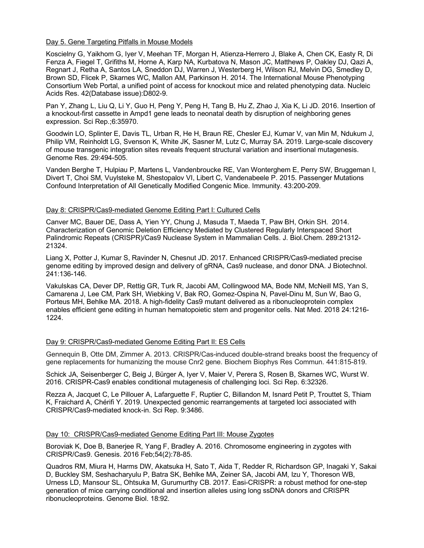#### Day 5. Gene Targeting Pitfalls in Mouse Models

Koscielny G, Yaikhom G, Iyer V, Meehan TF, Morgan H, Atienza-Herrero J, Blake A, Chen CK, Easty R, Di Fenza A, Fiegel T, Grifiths M, Horne A, Karp NA, Kurbatova N, Mason JC, Matthews P, Oakley DJ, Qazi A, Regnart J, Retha A, Santos LA, Sneddon DJ, Warren J, Westerberg H, Wilson RJ, Melvin DG, Smedley D, Brown SD, Flicek P, Skarnes WC, Mallon AM, Parkinson H. 2014. The International Mouse Phenotyping Consortium Web Portal, a unified point of access for knockout mice and related phenotyping data. Nucleic Acids Res. 42(Database issue):D802-9.

Pan Y, Zhang L, Liu Q, Li Y, Guo H, Peng Y, Peng H, Tang B, Hu Z, Zhao J, Xia K, Li JD. 2016. Insertion of a knockout-first cassette in Ampd1 gene leads to neonatal death by disruption of neighboring genes expression. Sci Rep.;6:35970.

Goodwin LO, Splinter E, Davis TL, Urban R, He H, Braun RE, Chesler EJ, Kumar V, van Min M, Ndukum J, Philip VM, Reinholdt LG, Svenson K, White JK, Sasner M, Lutz C, Murray SA. 2019. Large-scale discovery of mouse transgenic integration sites reveals frequent structural variation and insertional mutagenesis. Genome Res. 29:494-505.

Vanden Berghe T, Hulpiau P, Martens L, Vandenbroucke RE, Van Wonterghem E, Perry SW, Bruggeman I, Divert T, Choi SM, Vuylsteke M, Shestopalov VI, Libert C, Vandenabeele P. 2015. Passenger Mutations Confound Interpretation of All Genetically Modified Congenic Mice. Immunity. 43:200-209.

#### Day 8: CRISPR/Cas9-mediated Genome Editing Part I: Cultured Cells

Canver MC, Bauer DE, Dass A, Yien YY, Chung J, Masuda T, Maeda T, Paw BH, Orkin SH. 2014. Characterization of Genomic Deletion Efficiency Mediated by Clustered Regularly Interspaced Short Palindromic Repeats (CRISPR)/Cas9 Nuclease System in Mammalian Cells. J. Biol.Chem. 289:21312- 21324.

Liang X, Potter J, Kumar S, Ravinder N, Chesnut JD. 2017. Enhanced CRISPR/Cas9-mediated precise genome editing by improved design and delivery of gRNA, Cas9 nuclease, and donor DNA. J Biotechnol. 241:136-146.

Vakulskas CA, Dever DP, Rettig GR, Turk R, Jacobi AM, Collingwood MA, Bode NM, McNeill MS, Yan S, Camarena J, Lee CM, Park SH, Wiebking V, Bak RO, Gomez-Ospina N, Pavel-Dinu M, Sun W, Bao G, Porteus MH, Behlke MA. 2018. A high-fidelity Cas9 mutant delivered as a ribonucleoprotein complex enables efficient gene editing in human hematopoietic stem and progenitor cells. Nat Med. 2018 24:1216- 1224.

#### Day 9: CRISPR/Cas9-mediated Genome Editing Part II: ES Cells

Gennequin B, Otte DM, Zimmer A. 2013. CRISPR/Cas-induced double-strand breaks boost the frequency of gene replacements for humanizing the mouse Cnr2 gene. Biochem Biophys Res Commun. 441:815-819.

Schick JA, Seisenberger C, Beig J, Bürger A, Iyer V, Maier V, Perera S, Rosen B, Skarnes WC, Wurst W. 2016. CRISPR-Cas9 enables conditional mutagenesis of challenging loci. Sci Rep. 6:32326.

Rezza A, Jacquet C, Le Pillouer A, Lafarguette F, Ruptier C, Billandon M, Isnard Petit P, Trouttet S, Thiam K, Fraichard A, Chérifi Y. 2019. Unexpected genomic rearrangements at targeted loci associated with CRISPR/Cas9-mediated knock-in. Sci Rep. 9:3486.

#### Day 10: CRISPR/Cas9-mediated Genome Editing Part III: Mouse Zygotes

Boroviak K, Doe B, Banerjee R, Yang F, Bradley A. 2016. Chromosome engineering in zygotes with CRISPR/Cas9. Genesis. 2016 Feb;54(2):78-85.

Quadros RM, Miura H, Harms DW, Akatsuka H, Sato T, Aida T, Redder R, Richardson GP, Inagaki Y, Sakai D, Buckley SM, Seshacharyulu P, Batra SK, Behlke MA, Zeiner SA, Jacobi AM, Izu Y, Thoreson WB, Urness LD, Mansour SL, Ohtsuka M, Gurumurthy CB. 2017. Easi-CRISPR: a robust method for one-step generation of mice carrying conditional and insertion alleles using long ssDNA donors and CRISPR ribonucleoproteins. Genome Biol. 18:92.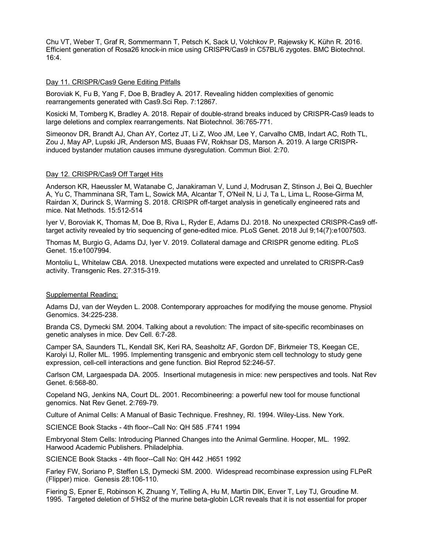Chu VT, Weber T, Graf R, Sommermann T, Petsch K, Sack U, Volchkov P, Rajewsky K, Kühn R. 2016. Efficient generation of Rosa26 knock-in mice using CRISPR/Cas9 in C57BL/6 zygotes. BMC Biotechnol. 16:4.

#### Day 11. CRISPR/Cas9 Gene Editing Pitfalls

Boroviak K, Fu B, Yang F, Doe B, Bradley A. 2017. Revealing hidden complexities of genomic rearrangements generated with Cas9.Sci Rep. 7:12867.

Kosicki M, Tomberg K, Bradley A. 2018. Repair of double-strand breaks induced by CRISPR-Cas9 leads to large deletions and complex rearrangements. Nat Biotechnol. 36:765-771.

Simeonov DR, Brandt AJ, Chan AY, Cortez JT, Li Z, Woo JM, Lee Y, Carvalho CMB, Indart AC, Roth TL, Zou J, May AP, Lupski JR, Anderson MS, Buaas FW, Rokhsar DS, Marson A. 2019. A large CRISPRinduced bystander mutation causes immune dysregulation. Commun Biol. 2:70.

#### Day 12. CRISPR/Cas9 Off Target Hits

Anderson KR, Haeussler M, Watanabe C, Janakiraman V, Lund J, Modrusan Z, Stinson J, Bei Q, Buechler A, Yu C, Thamminana SR, Tam L, Sowick MA, Alcantar T, O'Neil N, Li J, Ta L, Lima L, Roose-Girma M, Rairdan X, Durinck S, Warming S. 2018. CRISPR off-target analysis in genetically engineered rats and mice. Nat Methods. 15:512-514

Iyer V, Boroviak K, Thomas M, Doe B, Riva L, Ryder E, Adams DJ. 2018. No unexpected CRISPR-Cas9 offtarget activity revealed by trio sequencing of gene-edited mice. PLoS Genet. 2018 Jul 9;14(7):e1007503.

Thomas M, Burgio G, Adams DJ, Iyer V. 2019. Collateral damage and CRISPR genome editing. PLoS Genet. 15:e1007994.

Montoliu L, Whitelaw CBA. 2018. Unexpected mutations were expected and unrelated to CRISPR-Cas9 activity. Transgenic Res. 27:315-319.

# Supplemental Reading:

Adams DJ, van der Weyden L. 2008. Contemporary approaches for modifying the mouse genome. Physiol Genomics. 34:225-238.

Branda CS, Dymecki SM. 2004. Talking about a revolution: The impact of site-specific recombinases on genetic analyses in mice. Dev Cell. 6:7-28.

Camper SA, Saunders TL, Kendall SK, Keri RA, Seasholtz AF, Gordon DF, Birkmeier TS, Keegan CE, Karolyi IJ, Roller ML. 1995. Implementing transgenic and embryonic stem cell technology to study gene expression, cell-cell interactions and gene function. Biol Reprod 52:246-57.

Carlson CM, Largaespada DA. 2005. Insertional mutagenesis in mice: new perspectives and tools. Nat Rev Genet. 6:568-80.

Copeland NG, Jenkins NA, Court DL. 2001. Recombineering: a powerful new tool for mouse functional genomics. Nat Rev Genet. 2:769-79.

Culture of Animal Cells: A Manual of Basic Technique. Freshney, RI. 1994. Wiley-Liss. New York.

SCIENCE Book Stacks - 4th floor--Call No: QH 585 .F741 1994

Embryonal Stem Cells: Introducing Planned Changes into the Animal Germline. Hooper, ML. 1992. Harwood Academic Publishers. Philadelphia.

SCIENCE Book Stacks - 4th floor--Call No: QH 442 .H651 1992

Farley FW, Soriano P, Steffen LS, Dymecki SM. 2000. Widespread recombinase expression using FLPeR (Flipper) mice. Genesis 28:106-110.

Fiering S, Epner E, Robinson K, Zhuang Y, Telling A, Hu M, Martin DIK, Enver T, Ley TJ, Groudine M. 1995. Targeted deletion of 5'HS2 of the murine beta-globin LCR reveals that it is not essential for proper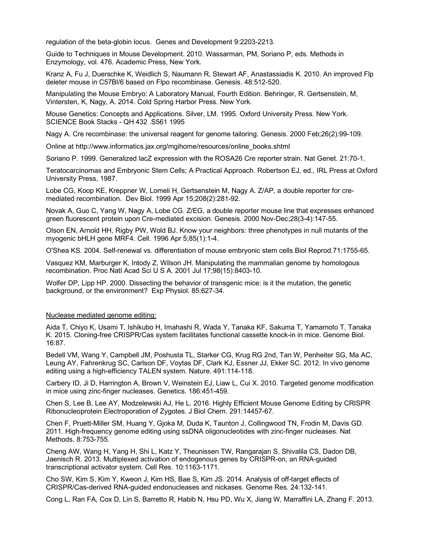regulation of the beta-globin locus. Genes and Development 9:2203-2213.

Guide to Techniques in Mouse Development. 2010. Wassarman, PM, Soriano P, eds. Methods in Enzymology, vol. 476. Academic Press, New York.

Kranz A, Fu J, Duerschke K, Weidlich S, Naumann R, Stewart AF, Anastassiadis K. 2010. An improved Flp deleter mouse in C57Bl/6 based on Flpo recombinase. Genesis. 48:512-520.

Manipulating the Mouse Embryo: A Laboratory Manual, Fourth Edition. Behringer, R. Gertsenstein, M, Vintersten, K, Nagy, A. 2014. Cold Spring Harbor Press. New York.

Mouse Genetics: Concepts and Applications. Silver, LM. 1995. Oxford University Press. New York. SCIENCE Book Stacks - QH 432 .S561 1995

Nagy A. Cre recombinase: the universal reagent for genome tailoring. Genesis. 2000 Feb;26(2):99-109.

Online at http://www.informatics.jax.org/mgihome/resources/online\_books.shtml

Soriano P. 1999. Generalized lacZ expression with the ROSA26 Cre reporter strain. Nat Genet. 21:70-1.

Teratocarcinomas and Embryonic Stem Cells; A Practical Approach. Robertson EJ, ed., IRL Press at Oxford University Press, 1987.

Lobe CG, Koop KE, Kreppner W, Lomeli H, Gertsenstein M, Nagy A. Z/AP, a double reporter for cremediated recombination. Dev Biol. 1999 Apr 15;208(2):281-92.

Novak A, Guo C, Yang W, Nagy A, Lobe CG. Z/EG, a double reporter mouse line that expresses enhanced green fluorescent protein upon Cre-mediated excision. Genesis. 2000 Nov-Dec;28(3-4):147-55.

Olson EN, Arnold HH, Rigby PW, Wold BJ. Know your neighbors: three phenotypes in null mutants of the myogenic bHLH gene MRF4. Cell. 1996 Apr 5;85(1):1-4.

O'Shea KS. 2004. Self-renewal vs. differentiation of mouse embryonic stem cells.Biol Reprod.71:1755-65.

Vasquez KM, Marburger K, Intody Z, Wilson JH. Manipulating the mammalian genome by homologous recombination. Proc Natl Acad Sci U S A. 2001 Jul 17;98(15):8403-10.

Wolfer DP, Lipp HP. 2000. Dissecting the behavior of transgenic mice: is it the mutation, the genetic background, or the environment? Exp Physiol. 85:627-34.

#### Nuclease mediated genome editing:

Aida T, Chiyo K, Usami T, Ishikubo H, Imahashi R, Wada Y, Tanaka KF, Sakuma T, Yamamoto T, Tanaka K. 2015. Cloning-free CRISPR/Cas system facilitates functional cassette knock-in in mice. Genome Biol. 16:87.

Bedell VM, Wang Y, Campbell JM, Poshusta TL, Starker CG, Krug RG 2nd, Tan W, Penheiter SG, Ma AC, Leung AY, Fahrenkrug SC, Carlson DF, Voytas DF, Clark KJ, Essner JJ, Ekker SC. 2012. In vivo genome editing using a high-efficiency TALEN system. Nature. 491:114-118.

Carbery ID, Ji D, Harrington A, Brown V, Weinstein EJ, Liaw L, Cui X. 2010. Targeted genome modification in mice using zinc-finger nucleases. Genetics. 186:451-459.

Chen S, Lee B, Lee AY, Modzelewski AJ, He L. 2016. Highly Efficient Mouse Genome Editing by CRISPR Ribonucleoprotein Electroporation of Zygotes. J Biol Chem. 291:14457-67.

Chen F, Pruett-Miller SM, Huang Y, Gjoka M, Duda K, Taunton J, Collingwood TN, Frodin M, Davis GD. 2011. High-frequency genome editing using ssDNA oligonucleotides with zinc-finger nucleases. Nat Methods. 8:753-755.

Cheng AW, Wang H, Yang H, Shi L, Katz Y, Theunissen TW, Rangarajan S, Shivalila CS, Dadon DB, Jaenisch R. 2013. Multiplexed activation of endogenous genes by CRISPR-on, an RNA-guided transcriptional activator system. Cell Res. 10:1163-1171.

Cho SW, Kim S, Kim Y, Kweon J, Kim HS, Bae S, Kim JS. 2014. Analysis of off-target effects of CRISPR/Cas-derived RNA-guided endonucleases and nickases. Genome Res. 24:132-141.

Cong L, Ran FA, Cox D, Lin S, Barretto R, Habib N, Hsu PD, Wu X, Jiang W, Marraffini LA, Zhang F. 2013.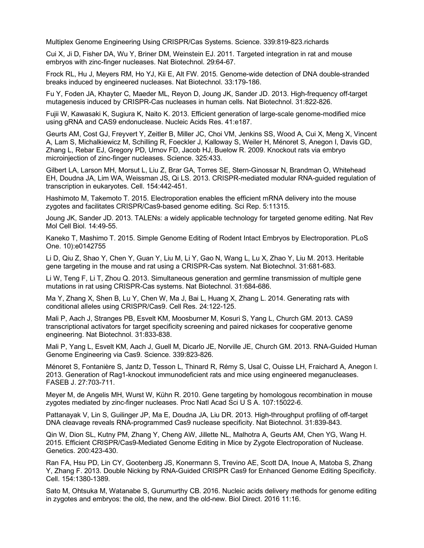Multiplex Genome Engineering Using CRISPR/Cas Systems. Science. 339:819-823.richards

Cui X, Ji D, Fisher DA, Wu Y, Briner DM, Weinstein EJ. 2011. Targeted integration in rat and mouse embryos with zinc-finger nucleases. Nat Biotechnol. 29:64-67.

Frock RL, Hu J, Meyers RM, Ho YJ, Kii E, Alt FW. 2015. Genome-wide detection of DNA double-stranded breaks induced by engineered nucleases. Nat Biotechnol. 33:179-186.

Fu Y, Foden JA, Khayter C, Maeder ML, Reyon D, Joung JK, Sander JD. 2013. High-frequency off-target mutagenesis induced by CRISPR-Cas nucleases in human cells. Nat Biotechnol. 31:822-826.

Fujii W, Kawasaki K, Sugiura K, Naito K. 2013. Efficient generation of large-scale genome-modified mice using gRNA and CAS9 endonuclease. Nucleic Acids Res. 41:e187.

Geurts AM, Cost GJ, Freyvert Y, Zeitler B, Miller JC, Choi VM, Jenkins SS, Wood A, Cui X, Meng X, Vincent A, Lam S, Michalkiewicz M, Schilling R, Foeckler J, Kalloway S, Weiler H, Ménoret S, Anegon I, Davis GD, Zhang L, Rebar EJ, Gregory PD, Urnov FD, Jacob HJ, Buelow R. 2009. Knockout rats via embryo microinjection of zinc-finger nucleases. Science. 325:433.

Gilbert LA, Larson MH, Morsut L, Liu Z, Brar GA, Torres SE, Stern-Ginossar N, Brandman O, Whitehead EH, Doudna JA, Lim WA, Weissman JS, Qi LS. 2013. CRISPR-mediated modular RNA-guided regulation of transcription in eukaryotes. Cell. 154:442-451.

Hashimoto M, Takemoto T. 2015. Electroporation enables the efficient mRNA delivery into the mouse zygotes and facilitates CRISPR/Cas9-based genome editing. Sci Rep. 5:11315.

Joung JK, Sander JD. 2013. TALENs: a widely applicable technology for targeted genome editing. Nat Rev Mol Cell Biol. 14:49-55.

Kaneko T, Mashimo T. 2015. Simple Genome Editing of Rodent Intact Embryos by Electroporation. PLoS One. 10):e0142755

Li D, Qiu Z, Shao Y, Chen Y, Guan Y, Liu M, Li Y, Gao N, Wang L, Lu X, Zhao Y, Liu M. 2013. Heritable gene targeting in the mouse and rat using a CRISPR-Cas system. Nat Biotechnol. 31:681-683.

Li W, Teng F, Li T, Zhou Q. 2013. Simultaneous generation and germline transmission of multiple gene mutations in rat using CRISPR-Cas systems. Nat Biotechnol. 31:684-686.

Ma Y, Zhang X, Shen B, Lu Y, Chen W, Ma J, Bai L, Huang X, Zhang L. 2014. Generating rats with conditional alleles using CRISPR/Cas9. Cell Res. 24:122-125.

Mali P, Aach J, Stranges PB, Esvelt KM, Moosburner M, Kosuri S, Yang L, Church GM. 2013. CAS9 transcriptional activators for target specificity screening and paired nickases for cooperative genome engineering. Nat Biotechnol. 31:833-838.

Mali P, Yang L, Esvelt KM, Aach J, Guell M, Dicarlo JE, Norville JE, Church GM. 2013. RNA-Guided Human Genome Engineering via Cas9. Science. 339:823-826.

Ménoret S, Fontanière S, Jantz D, Tesson L, Thinard R, Rémy S, Usal C, Ouisse LH, Fraichard A, Anegon I. 2013. Generation of Rag1-knockout immunodeficient rats and mice using engineered meganucleases. FASEB J. 27:703-711.

Meyer M, de Angelis MH, Wurst W, Kühn R. 2010. Gene targeting by homologous recombination in mouse zygotes mediated by zinc-finger nucleases. Proc Natl Acad Sci U S A. 107:15022-6.

Pattanayak V, Lin S, Guilinger JP, Ma E, Doudna JA, Liu DR. 2013. High-throughput profiling of off-target DNA cleavage reveals RNA-programmed Cas9 nuclease specificity. Nat Biotechnol. 31:839-843.

Qin W, Dion SL, Kutny PM, Zhang Y, Cheng AW, Jillette NL, Malhotra A, Geurts AM, Chen YG, Wang H. 2015. Efficient CRISPR/Cas9-Mediated Genome Editing in Mice by Zygote Electroporation of Nuclease. Genetics. 200:423-430.

Ran FA, Hsu PD, Lin CY, Gootenberg JS, Konermann S, Trevino AE, Scott DA, Inoue A, Matoba S, Zhang Y, Zhang F. 2013. Double Nicking by RNA-Guided CRISPR Cas9 for Enhanced Genome Editing Specificity. Cell. 154:1380-1389.

Sato M, Ohtsuka M, Watanabe S, Gurumurthy CB. 2016. Nucleic acids delivery methods for genome editing in zygotes and embryos: the old, the new, and the old-new. Biol Direct. 2016 11:16.